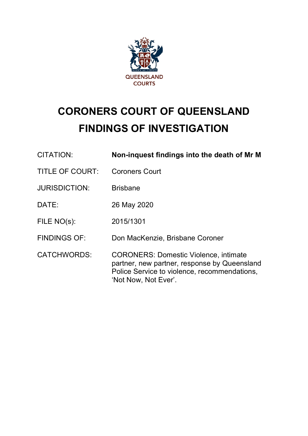

# **CORONERS COURT OF QUEENSLAND FINDINGS OF INVESTIGATION**

| CITATION:              | Non-inquest findings into the death of Mr M                                                                                                                          |
|------------------------|----------------------------------------------------------------------------------------------------------------------------------------------------------------------|
| <b>TITLE OF COURT:</b> | <b>Coroners Court</b>                                                                                                                                                |
| <b>JURISDICTION:</b>   | <b>Brisbane</b>                                                                                                                                                      |
| DATE:                  | 26 May 2020                                                                                                                                                          |
| FILE NO(s):            | 2015/1301                                                                                                                                                            |
| <b>FINDINGS OF:</b>    | Don MacKenzie, Brisbane Coroner                                                                                                                                      |
| <b>CATCHWORDS:</b>     | <b>CORONERS: Domestic Violence, intimate</b><br>partner, new partner, response by Queensland<br>Police Service to violence, recommendations,<br>'Not Now, Not Ever'. |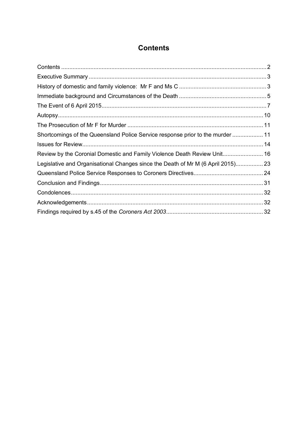# **Contents**

| Shortcomings of the Queensland Police Service response prior to the murder 11    |  |
|----------------------------------------------------------------------------------|--|
|                                                                                  |  |
| Review by the Coronial Domestic and Family Violence Death Review Unit 16         |  |
| Legislative and Organisational Changes since the Death of Mr M (6 April 2015) 23 |  |
|                                                                                  |  |
|                                                                                  |  |
|                                                                                  |  |
|                                                                                  |  |
|                                                                                  |  |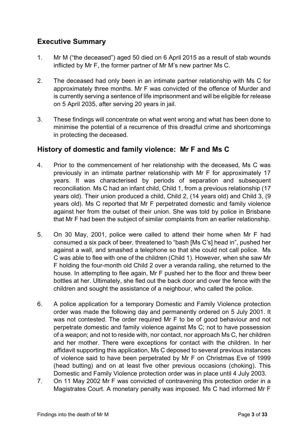## **Executive Summary**

- 1. Mr M ("the deceased") aged 50 died on 6 April 2015 as a result of stab wounds inflicted by Mr F, the former partner of Mr M's new partner Ms C.
- 2. The deceased had only been in an intimate partner relationship with Ms C for approximately three months. Mr F was convicted of the offence of Murder and is currently serving a sentence of life imprisonment and will be eligible for release on 5 April 2035, after serving 20 years in jail.
- 3. These findings will concentrate on what went wrong and what has been done to minimise the potential of a recurrence of this dreadful crime and shortcomings in protecting the deceased.

## **History of domestic and family violence: Mr F and Ms C**

- 4. Prior to the commencement of her relationship with the deceased, Ms C was previously in an intimate partner relationship with Mr F for approximately 17 years. It was characterised by periods of separation and subsequent reconciliation. Ms C had an infant child, Child 1, from a previous relationship (17 years old). Their union produced a child, Child 2, (14 years old) and Child 3, (9 years old). Ms C reported that Mr F perpetrated domestic and family violence against her from the outset of their union. She was told by police in Brisbane that Mr F had been the subject of similar complaints from an earlier relationship.
- 5. On 30 May, 2001, police were called to attend their home when Mr F had consumed a six pack of beer, threatened to "bash [Ms C's] head in", pushed her against a wall, and smashed a telephone so that she could not call police. Ms C was able to flee with one of the children (Child 1). However, when she saw Mr F holding the four-month old Child 2 over a veranda railing, she returned to the house. In attempting to flee again, Mr F pushed her to the floor and threw beer bottles at her. Ultimately, she fled out the back door and over the fence with the children and sought the assistance of a neighbour, who called the police.
- 6. A police application for a temporary Domestic and Family Violence protection order was made the following day and permanently ordered on 5 July 2001. It was not contested. The order required Mr F to be of good behaviour and not perpetrate domestic and family violence against Ms C; not to have possession of a weapon; and not to reside with, nor contact, nor approach Ms C, her children and her mother. There were exceptions for contact with the children. In her affidavit supporting this application, Ms C deposed to several previous instances of violence said to have been perpetrated by Mr F on Christmas Eve of 1999 (head butting) and on at least five other previous occasions (choking). This Domestic and Family Violence protection order was in place until 4 July 2003.
- 7. On 11 May 2002 Mr F was convicted of contravening this protection order in a Magistrates Court. A monetary penalty was imposed. Ms C had informed Mr F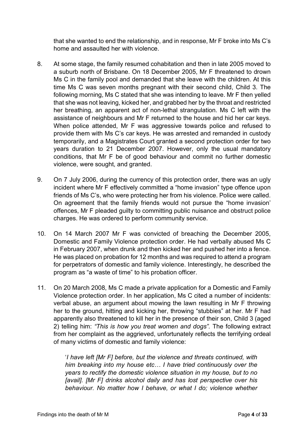that she wanted to end the relationship, and in response, Mr F broke into Ms C's home and assaulted her with violence.

- 8. At some stage, the family resumed cohabitation and then in late 2005 moved to a suburb north of Brisbane. On 18 December 2005, Mr F threatened to drown Ms C in the family pool and demanded that she leave with the children. At this time Ms C was seven months pregnant with their second child, Child 3. The following morning, Ms C stated that she was intending to leave. Mr F then yelled that she was not leaving, kicked her, and grabbed her by the throat and restricted her breathing, an apparent act of non-lethal strangulation. Ms C left with the assistance of neighbours and Mr F returned to the house and hid her car keys. When police attended, Mr F was aggressive towards police and refused to provide them with Ms C's car keys. He was arrested and remanded in custody temporarily, and a Magistrates Court granted a second protection order for two years duration to 21 December 2007. However, only the usual mandatory conditions, that Mr F be of good behaviour and commit no further domestic violence, were sought, and granted.
- 9. On 7 July 2006, during the currency of this protection order, there was an ugly incident where Mr F effectively committed a "home invasion" type offence upon friends of Ms C's, who were protecting her from his violence. Police were called. On agreement that the family friends would not pursue the "home invasion' offences, Mr F pleaded guilty to committing public nuisance and obstruct police charges. He was ordered to perform community service.
- 10. On 14 March 2007 Mr F was convicted of breaching the December 2005, Domestic and Family Violence protection order. He had verbally abused Ms C in February 2007, when drunk and then kicked her and pushed her into a fence. He was placed on probation for 12 months and was required to attend a program for perpetrators of domestic and family violence. Interestingly, he described the program as "a waste of time" to his probation officer.
- 11. On 20 March 2008, Ms C made a private application for a Domestic and Family Violence protection order. In her application, Ms C cited a number of incidents: verbal abuse, an argument about mowing the lawn resulting in Mr F throwing her to the ground, hitting and kicking her, throwing "stubbies" at her. Mr F had apparently also threatened to kill her in the presence of their son, Child 3 (aged 2) telling him: *"This is how you treat women and dogs".* The following extract from her complaint as the aggrieved, unfortunately reflects the terrifying ordeal of many victims of domestic and family violence:

'*I have left [Mr F] before, but the violence and threats continued, with him breaking into my house etc… I have tried continuously over the years to rectify the domestic violence situation in my house, but to no [avail]. [Mr F] drinks alcohol daily and has lost perspective over his behaviour. No matter how I behave, or what I do; violence whether*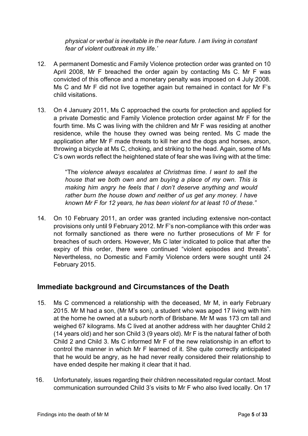*physical or verbal is inevitable in the near future. I am living in constant fear of violent outbreak in my life.'*

- 12. A permanent Domestic and Family Violence protection order was granted on 10 April 2008, Mr F breached the order again by contacting Ms C. Mr F was convicted of this offence and a monetary penalty was imposed on 4 July 2008. Ms C and Mr F did not live together again but remained in contact for Mr F's child visitations.
- 13. On 4 January 2011, Ms C approached the courts for protection and applied for a private Domestic and Family Violence protection order against Mr F for the fourth time. Ms C was living with the children and Mr F was residing at another residence, while the house they owned was being rented. Ms C made the application after Mr F made threats to kill her and the dogs and horses, arson, throwing a bicycle at Ms C, choking, and striking to the head. Again, some of Ms C's own words reflect the heightened state of fear she was living with at the time:

"The *violence always escalates at Christmas time. I want to sell the house that we both own and am buying a place of my own. This is making him angry he feels that I don't deserve anything and would rather burn the house down and neither of us get any money. I have known Mr F for 12 years, he has been violent for at least 10 of these."*

14. On 10 February 2011, an order was granted including extensive non-contact provisions only until 9 February 2012. Mr F's non-compliance with this order was not formally sanctioned as there were no further prosecutions of Mr F for breaches of such orders. However, Ms C later indicated to police that after the expiry of this order, there were continued "violent episodes and threats". Nevertheless, no Domestic and Family Violence orders were sought until 24 February 2015.

## **Immediate background and Circumstances of the Death**

- 15. Ms C commenced a relationship with the deceased, Mr M, in early February 2015. Mr M had a son, (Mr M's son), a student who was aged 17 living with him at the home he owned at a suburb north of Brisbane. Mr M was 173 cm tall and weighed 67 kilograms. Ms C lived at another address with her daughter Child 2 (14 years old) and her son Child 3 (9 years old). Mr F is the natural father of both Child 2 and Child 3. Ms C informed Mr F of the new relationship in an effort to control the manner in which Mr F learned of it. She quite correctly anticipated that he would be angry, as he had never really considered their relationship to have ended despite her making it clear that it had.
- 16. Unfortunately, issues regarding their children necessitated regular contact. Most communication surrounded Child 3's visits to Mr F who also lived locally. On 17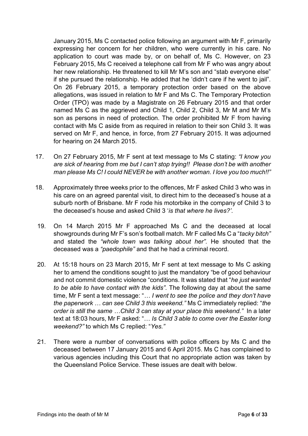January 2015, Ms C contacted police following an argument with Mr F, primarily expressing her concern for her children, who were currently in his care. No application to court was made by, or on behalf of, Ms C. However, on 23 February 2015, Ms C received a telephone call from Mr F who was angry about her new relationship. He threatened to kill Mr M's son and "stab everyone else" if she pursued the relationship. He added that he 'didn't care if he went to jail". On 26 February 2015, a temporary protection order based on the above allegations, was issued in relation to Mr F and Ms C. The Temporary Protection Order (TPO) was made by a Magistrate on 26 February 2015 and that order named Ms C as the aggrieved and Child 1, Child 2, Child 3, Mr M and Mr M's son as persons in need of protection. The order prohibited Mr F from having contact with Ms C aside from as required in relation to their son Child 3. It was served on Mr F, and hence, in force, from 27 February 2015. It was adjourned for hearing on 24 March 2015.

- 17. On 27 February 2015, Mr F sent at text message to Ms C stating: *"I know you are sick of hearing from me but I can't stop trying!! Please don't be with another man please Ms C! I could NEVER be with another woman. I love you too much!!"*
- 18. Approximately three weeks prior to the offences, Mr F asked Child 3 who was in his care on an agreed parental visit, to direct him to the deceased's house at a suburb north of Brisbane. Mr F rode his motorbike in the company of Child 3 to the deceased's house and asked Child 3 '*is that where he lives?'.*
- 19. On 14 March 2015 Mr F approached Ms C and the deceased at local showgrounds during Mr F's son's football match. Mr F called Ms C a "*tacky bitch"* and stated the *"whole town was talking about her".* He shouted that the deceased was a *"paedophile"* and that he had a criminal record.
- 20. At 15:18 hours on 23 March 2015, Mr F sent at text message to Ms C asking her to amend the conditions sought to just the mandatory "be of good behaviour and not commit domestic violence "conditions. It was stated that "*he just wanted to be able to have contact with the kids".* The following day at about the same time, Mr F sent a text message: "*… I went to see the police and they don't have the paperwork … can see Child 3 this weekend."* Ms C immediately replied: "*the order is still the same …Child 3 can stay at your place this weekend."* In a later text at 18:03 hours, Mr F asked: "… *Is Child 3 able to come over the Easter long weekend?"* to which Ms C replied: "*Yes."*
- 21. There were a number of conversations with police officers by Ms C and the deceased between 17 January 2015 and 6 April 2015. Ms C has complained to various agencies including this Court that no appropriate action was taken by the Queensland Police Service. These issues are dealt with below.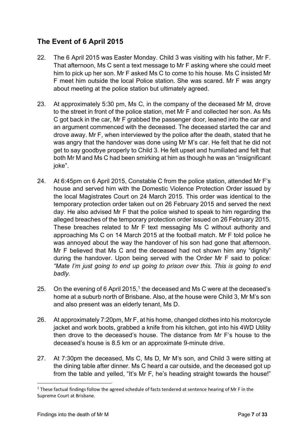# **The Event of 6 April 2015**

- 22. The 6 April 2015 was Easter Monday. Child 3 was visiting with his father, Mr F. That afternoon, Ms C sent a text message to Mr F asking where she could meet him to pick up her son. Mr F asked Ms C to come to his house. Ms C insisted Mr F meet him outside the local Police station. She was scared. Mr F was angry about meeting at the police station but ultimately agreed.
- 23. At approximately 5:30 pm, Ms C, in the company of the deceased Mr M, drove to the street in front of the police station, met Mr F and collected her son. As Ms C got back in the car, Mr F grabbed the passenger door, leaned into the car and an argument commenced with the deceased. The deceased started the car and drove away. Mr F, when interviewed by the police after the death, stated that he was angry that the handover was done using Mr M's car. He felt that he did not get to say goodbye properly to Child 3. He felt upset and humiliated and felt that both Mr M and Ms C had been smirking at him as though he was an "insignificant joke".
- 24. At 6:45pm on 6 April 2015, Constable C from the police station, attended Mr F's house and served him with the Domestic Violence Protection Order issued by the local Magistrates Court on 24 March 2015. This order was identical to the temporary protection order taken out on 26 February 2015 and served the next day. He also advised Mr F that the police wished to speak to him regarding the alleged breaches of the temporary protection order issued on 26 February 2015. These breaches related to Mr F text messaging Ms C without authority and approaching Ms C on 14 March 2015 at the football match. Mr F told police he was annoyed about the way the handover of his son had gone that afternoon. Mr F believed that Ms C and the deceased had not shown him any "dignity" during the handover. Upon being served with the Order Mr F said to police: *"Mate I'm just going to end up going to prison over this. This is going to end badly.*
- 25. On the evening of 6 April 2015,<sup>1</sup> the deceased and Ms C were at the deceased's home at a suburb north of Brisbane. Also, at the house were Child 3, Mr M's son and also present was an elderly tenant, Ms D.
- 26. At approximately 7:20pm, Mr F, at his home, changed clothes into his motorcycle jacket and work boots, grabbed a knife from his kitchen, got into his 4WD Utility then drove to the deceased's house. The distance from Mr F's house to the deceased's house is 8.5 km or an approximate 9-minute drive.
- 27. At 7:30pm the deceased, Ms C, Ms D, Mr M's son, and Child 3 were sitting at the dining table after dinner. Ms C heard a car outside, and the deceased got up from the table and yelled, "It's Mr F, he's heading straight towards the house!"

 $1$  These factual findings follow the agreed schedule of facts tendered at sentence hearing of Mr F in the Supreme Court at Brisbane.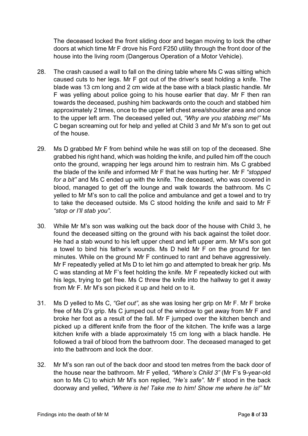The deceased locked the front sliding door and began moving to lock the other doors at which time Mr F drove his Ford F250 utility through the front door of the house into the living room (Dangerous Operation of a Motor Vehicle).

- 28. The crash caused a wall to fall on the dining table where Ms C was sitting which caused cuts to her legs. Mr F got out of the driver's seat holding a knife. The blade was 13 cm long and 2 cm wide at the base with a black plastic handle. Mr F was yelling about police going to his house earlier that day. Mr F then ran towards the deceased, pushing him backwards onto the couch and stabbed him approximately 2 times, once to the upper left chest area/shoulder area and once to the upper left arm. The deceased yelled out, *"Why are you stabbing me!"* Ms C began screaming out for help and yelled at Child 3 and Mr M's son to get out of the house.
- 29. Ms D grabbed Mr F from behind while he was still on top of the deceased. She grabbed his right hand, which was holding the knife, and pulled him off the couch onto the ground, wrapping her legs around him to restrain him. Ms C grabbed the blade of the knife and informed Mr F that he was hurting her. Mr F *"stopped for a bit"* and Ms C ended up with the knife. The deceased, who was covered in blood, managed to get off the lounge and walk towards the bathroom. Ms C yelled to Mr M's son to call the police and ambulance and get a towel and to try to take the deceased outside. Ms C stood holding the knife and said to Mr F *"stop or I'll stab you".*
- 30. While Mr M's son was walking out the back door of the house with Child 3, he found the deceased sitting on the ground with his back against the toilet door. He had a stab wound to his left upper chest and left upper arm. Mr M's son got a towel to bind his father's wounds. Ms D held Mr F on the ground for ten minutes. While on the ground Mr F continued to rant and behave aggressively. Mr F repeatedly yelled at Ms D to let him go and attempted to break her grip. Ms C was standing at Mr F's feet holding the knife. Mr F repeatedly kicked out with his legs, trying to get free. Ms C threw the knife into the hallway to get it away from Mr F. Mr M's son picked it up and held on to it.
- 31. Ms D yelled to Ms C, *"Get out",* as she was losing her grip on Mr F. Mr F broke free of Ms D's grip. Ms C jumped out of the window to get away from Mr F and broke her foot as a result of the fall. Mr F jumped over the kitchen bench and picked up a different knife from the floor of the kitchen. The knife was a large kitchen knife with a blade approximately 15 cm long with a black handle. He followed a trail of blood from the bathroom door. The deceased managed to get into the bathroom and lock the door.
- 32. Mr M's son ran out of the back door and stood ten metres from the back door of the house near the bathroom. Mr F yelled, *"Where's Child 3"* (Mr F's 9-year-old son to Ms C) to which Mr M's son replied, *"He's safe".* Mr F stood in the back doorway and yelled, *"Where is he! Take me to him! Show me where he is!"* Mr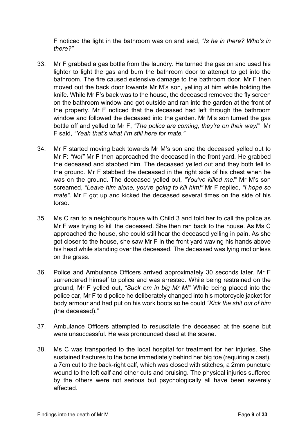F noticed the light in the bathroom was on and said, *"Is he in there? Who's in there?"*

- 33. Mr F grabbed a gas bottle from the laundry. He turned the gas on and used his lighter to light the gas and burn the bathroom door to attempt to get into the bathroom. The fire caused extensive damage to the bathroom door. Mr F then moved out the back door towards Mr M's son, yelling at him while holding the knife. While Mr F's back was to the house, the deceased removed the fly screen on the bathroom window and got outside and ran into the garden at the front of the property. Mr F noticed that the deceased had left through the bathroom window and followed the deceased into the garden. Mr M's son turned the gas bottle off and yelled to Mr F, *"The police are coming, they're on their way!"* Mr F said, *"Yeah that's what I'm still here for mate."*
- 34. Mr F started moving back towards Mr M's son and the deceased yelled out to Mr F: *"No!"* Mr F then approached the deceased in the front yard. He grabbed the deceased and stabbed him. The deceased yelled out and they both fell to the ground. Mr F stabbed the deceased in the right side of his chest when he was on the ground. The deceased yelled out, *"You've killed me!"* Mr M's son screamed, *"Leave him alone, you're going to kill him!"* Mr F replied, *"I hope so mate".* Mr F got up and kicked the deceased several times on the side of his torso.
- 35. Ms C ran to a neighbour's house with Child 3 and told her to call the police as Mr F was trying to kill the deceased. She then ran back to the house. As Ms C approached the house, she could still hear the deceased yelling in pain. As she got closer to the house, she saw Mr F in the front yard waving his hands above his head while standing over the deceased. The deceased was lying motionless on the grass.
- 36. Police and Ambulance Officers arrived approximately 30 seconds later. Mr F surrendered himself to police and was arrested. While being restrained on the ground, Mr F yelled out, *"Suck em in big Mr M!"* While being placed into the police car, Mr F told police he deliberately changed into his motorcycle jacket for body armour and had put on his work boots so he could *"Kick the shit out of him (*the deceased)."
- 37. Ambulance Officers attempted to resuscitate the deceased at the scene but were unsuccessful. He was pronounced dead at the scene.
- 38. Ms C was transported to the local hospital for treatment for her injuries. She sustained fractures to the bone immediately behind her big toe (requiring a cast), a 7cm cut to the back-right calf, which was closed with stitches, a 2mm puncture wound to the left calf and other cuts and bruising. The physical injuries suffered by the others were not serious but psychologically all have been severely affected.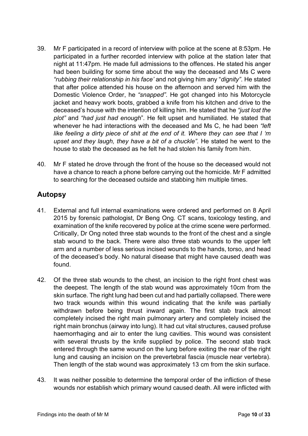- 39. Mr F participated in a record of interview with police at the scene at 8:53pm. He participated in a further recorded interview with police at the station later that night at 11:47pm. He made full admissions to the offences. He stated his anger had been building for some time about the way the deceased and Ms C were *"rubbing their relationship in his face'* and not giving him any "*dignity"*. He stated that after police attended his house on the afternoon and served him with the Domestic Violence Order, he *"snapped".* He got changed into his Motorcycle jacket and heavy work boots, grabbed a knife from his kitchen and drive to the deceased's house with the intention of killing him. He stated that he *"just lost the plot"* and *"had just had enough*"*.* He felt upset and humiliated*.* He stated that whenever he had interactions with the deceased and Ms C, he had been *"left like feeling a dirty piece of shit at the end of it. Where they can see that I 'm upset and they laugh, they have a bit of a chuckle".* He stated he went to the house to stab the deceased as he felt he had stolen his family from him.
- 40. Mr F stated he drove through the front of the house so the deceased would not have a chance to reach a phone before carrying out the homicide. Mr F admitted to searching for the deceased outside and stabbing him multiple times.

# **Autopsy**

- 41. External and full internal examinations were ordered and performed on 8 April 2015 by forensic pathologist, Dr Beng Ong. CT scans, toxicology testing, and examination of the knife recovered by police at the crime scene were performed. Critically, Dr Ong noted three stab wounds to the front of the chest and a single stab wound to the back. There were also three stab wounds to the upper left arm and a number of less serious incised wounds to the hands, torso, and head of the deceased's body. No natural disease that might have caused death was found.
- 42. Of the three stab wounds to the chest, an incision to the right front chest was the deepest. The length of the stab wound was approximately 10cm from the skin surface. The right lung had been cut and had partially collapsed. There were two track wounds within this wound indicating that the knife was partially withdrawn before being thrust inward again. The first stab track almost completely incised the right main pulmonary artery and completely incised the right main bronchus (airway into lung). It had cut vital structures, caused profuse haemorrhaging and air to enter the lung cavities. This wound was consistent with several thrusts by the knife supplied by police. The second stab track entered through the same wound on the lung before exiting the rear of the right lung and causing an incision on the prevertebral fascia (muscle near vertebra). Then length of the stab wound was approximately 13 cm from the skin surface.
- 43. It was neither possible to determine the temporal order of the infliction of these wounds nor establish which primary wound caused death. All were inflicted with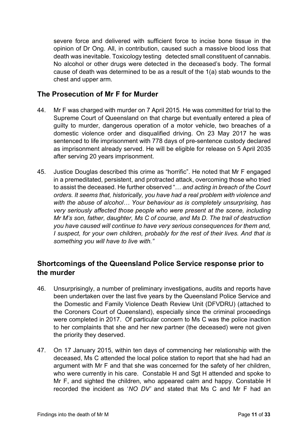severe force and delivered with sufficient force to incise bone tissue in the opinion of Dr Ong. All, in contribution, caused such a massive blood loss that death was inevitable. Toxicology testing detected small constituent of cannabis. No alcohol or other drugs were detected in the deceased's body. The formal cause of death was determined to be as a result of the 1(a) stab wounds to the chest and upper arm.

## **The Prosecution of Mr F for Murder**

- 44. Mr F was charged with murder on 7 April 2015. He was committed for trial to the Supreme Court of Queensland on that charge but eventually entered a plea of guilty to murder, dangerous operation of a motor vehicle, two breaches of a domestic violence order and disqualified driving. On 23 May 2017 he was sentenced to life imprisonment with 778 days of pre-sentence custody declared as imprisonment already served. He will be eligible for release on 5 April 2035 after serving 20 years imprisonment.
- 45. Justice Douglas described this crime as "horrific". He noted that Mr F engaged in a premeditated, persistent, and protracted attack, overcoming those who tried to assist the deceased. He further observed "… *and acting in breach of the Court orders. It seems that, historically, you have had a real problem with violence and with the abuse of alcohol… Your behaviour as is completely unsurprising, has very seriously affected those people who were present at the scene, including Mr M's son, father, daughter, Ms C of course, and Ms D. The trail of destruction you have caused will continue to have very serious consequences for them and, I suspect, for your own children, probably for the rest of their lives. And that is something you will have to live with."*

## **Shortcomings of the Queensland Police Service response prior to the murder**

- 46. Unsurprisingly, a number of preliminary investigations, audits and reports have been undertaken over the last five years by the Queensland Police Service and the Domestic and Family Violence Death Review Unit (DFVDRU) (attached to the Coroners Court of Queensland), especially since the criminal proceedings were completed in 2017. Of particular concern to Ms C was the police inaction to her complaints that she and her new partner (the deceased) were not given the priority they deserved.
- 47. On 17 January 2015, within ten days of commencing her relationship with the deceased, Ms C attended the local police station to report that she had had an argument with Mr F and that she was concerned for the safety of her children, who were currently in his care. Constable H and Sgt H attended and spoke to Mr F, and sighted the children, who appeared calm and happy. Constable H recorded the incident as '*NO DV'* and stated that Ms C and Mr F had an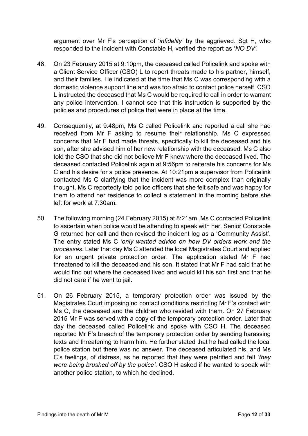argument over Mr F's perception of '*infidelity'* by the aggrieved. Sgt H, who responded to the incident with Constable H, verified the report as '*NO DV'.*

- 48. On 23 February 2015 at 9:10pm, the deceased called Policelink and spoke with a Client Service Officer (CSO) L to report threats made to his partner, himself, and their families. He indicated at the time that Ms C was corresponding with a domestic violence support line and was too afraid to contact police herself. CSO L instructed the deceased that Ms C would be required to call in order to warrant any police intervention. I cannot see that this instruction is supported by the policies and procedures of police that were in place at the time.
- 49. Consequently, at 9:48pm, Ms C called Policelink and reported a call she had received from Mr F asking to resume their relationship. Ms C expressed concerns that Mr F had made threats, specifically to kill the deceased and his son, after she advised him of her new relationship with the deceased. Ms C also told the CSO that she did not believe Mr F knew where the deceased lived. The deceased contacted Policelink again at 9:56pm to reiterate his concerns for Ms C and his desire for a police presence. At 10:21pm a supervisor from Policelink contacted Ms C clarifying that the incident was more complex than originally thought. Ms C reportedly told police officers that she felt safe and was happy for them to attend her residence to collect a statement in the morning before she left for work at 7:30am.
- 50. The following morning (24 February 2015) at 8:21am, Ms C contacted Policelink to ascertain when police would be attending to speak with her. Senior Constable G returned her call and then revised the incident log as a 'Community Assist'. The entry stated Ms C '*only wanted advice on how DV orders work and the processes.* Later that day Ms C attended the local Magistrates Court and applied for an urgent private protection order. The application stated Mr F had threatened to kill the deceased and his son. It stated that Mr F had said that he would find out where the deceased lived and would kill his son first and that he did not care if he went to jail.
- 51. On 26 February 2015, a temporary protection order was issued by the Magistrates Court imposing no contact conditions restricting Mr F's contact with Ms C, the deceased and the children who resided with them. On 27 February 2015 Mr F was served with a copy of the temporary protection order. Later that day the deceased called Policelink and spoke with CSO H. The deceased reported Mr F's breach of the temporary protection order by sending harassing texts and threatening to harm him. He further stated that he had called the local police station but there was no answer. The deceased articulated his, and Ms C's feelings, of distress, as he reported that they were petrified and felt '*they were being brushed off by the police'.* CSO H asked if he wanted to speak with another police station, to which he declined.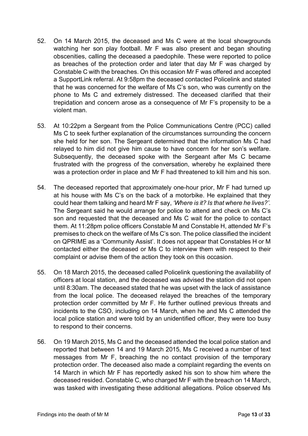- 52. On 14 March 2015, the deceased and Ms C were at the local showgrounds watching her son play football. Mr F was also present and began shouting obscenities, calling the deceased a paedophile. These were reported to police as breaches of the protection order and later that day Mr F was charged by Constable C with the breaches. On this occasion Mr F was offered and accepted a SupportLink referral. At 9:58pm the deceased contacted Policelink and stated that he was concerned for the welfare of Ms C's son, who was currently on the phone to Ms C and extremely distressed. The deceased clarified that their trepidation and concern arose as a consequence of Mr F's propensity to be a violent man.
- 53. At 10:22pm a Sergeant from the Police Communications Centre (PCC) called Ms C to seek further explanation of the circumstances surrounding the concern she held for her son. The Sergeant determined that the information Ms C had relayed to him did not give him cause to have concern for her son's welfare. Subsequently, the deceased spoke with the Sergeant after Ms C became frustrated with the progress of the conversation, whereby he explained there was a protection order in place and Mr F had threatened to kill him and his son.
- 54. The deceased reported that approximately one-hour prior, Mr F had turned up at his house with Ms C's on the back of a motorbike. He explained that they could hear them talking and heard Mr F say, *'Where is it? Is that where he lives?'.*  The Sergeant said he would arrange for police to attend and check on Ms C's son and requested that the deceased and Ms C wait for the police to contact them. At 11:28pm police officers Constable M and Constable H, attended Mr F's premises to check on the welfare of Ms C's son. The police classified the incident on QPRIME as a 'Community Assist'. It does not appear that Constables H or M contacted either the deceased or Ms C to interview them with respect to their complaint or advise them of the action they took on this occasion.
- 55. On 18 March 2015, the deceased called Policelink questioning the availability of officers at local station, and the deceased was advised the station did not open until 8:30am. The deceased stated that he was upset with the lack of assistance from the local police. The deceased relayed the breaches of the temporary protection order committed by Mr F. He further outlined previous threats and incidents to the CSO, including on 14 March, when he and Ms C attended the local police station and were told by an unidentified officer, they were too busy to respond to their concerns.
- 56. On 19 March 2015, Ms C and the deceased attended the local police station and reported that between 14 and 19 March 2015, Ms C received a number of text messages from Mr F, breaching the no contact provision of the temporary protection order. The deceased also made a complaint regarding the events on 14 March in which Mr F has reportedly asked his son to show him where the deceased resided. Constable C, who charged Mr F with the breach on 14 March, was tasked with investigating these additional allegations. Police observed Ms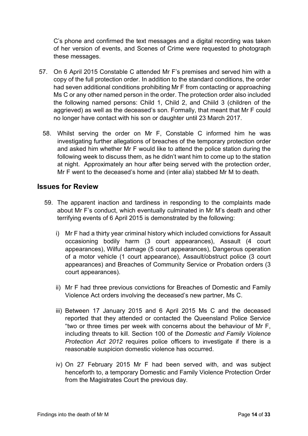C's phone and confirmed the text messages and a digital recording was taken of her version of events, and Scenes of Crime were requested to photograph these messages.

- 57. On 6 April 2015 Constable C attended Mr F's premises and served him with a copy of the full protection order. In addition to the standard conditions, the order had seven additional conditions prohibiting Mr F from contacting or approaching Ms C or any other named person in the order. The protection order also included the following named persons: Child 1, Child 2, and Chiild 3 (children of the aggrieved) as well as the deceased's son. Formally, that meant that Mr F could no longer have contact with his son or daughter until 23 March 2017.
	- 58. Whilst serving the order on Mr F, Constable C informed him he was investigating further allegations of breaches of the temporary protection order and asked him whether Mr F would like to attend the police station during the following week to discuss them, as he didn't want him to come up to the station at night. Approximately an hour after being served with the protection order, Mr F went to the deceased's home and (inter alia) stabbed Mr M to death.

### **Issues for Review**

- 59. The apparent inaction and tardiness in responding to the complaints made about Mr F's conduct, which eventually culminated in Mr M's death and other terrifying events of 6 April 2015 is demonstrated by the following:
	- i) Mr F had a thirty year criminal history which included convictions for Assault occasioning bodily harm (3 court appearances), Assault (4 court appearances), Wilful damage (5 court appearances), Dangerous operation of a motor vehicle (1 court appearance), Assault/obstruct police (3 court appearances) and Breaches of Community Service or Probation orders (3 court appearances).
	- ii) Mr F had three previous convictions for Breaches of Domestic and Family Violence Act orders involving the deceased's new partner, Ms C.
	- iii) Between 17 January 2015 and 6 April 2015 Ms C and the deceased reported that they attended or contacted the Queensland Police Service "two or three times per week with concerns about the behaviour of Mr F, including threats to kill. Section 100 of the *Domestic and Family Violence Protection Act 2012* requires police officers to investigate if there is a reasonable suspicion domestic violence has occurred.
	- iv) On 27 February 2015 Mr F had been served with, and was subject henceforth to, a temporary Domestic and Family Violence Protection Order from the Magistrates Court the previous day.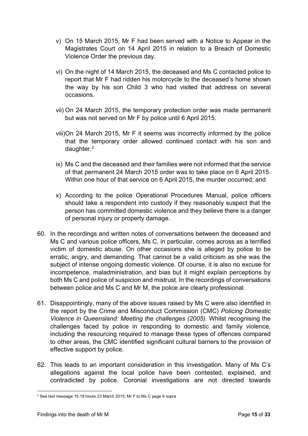- v) On 15 March 2015, Mr F had been served with a Notice to Appear in the Magistrates Court on 14 April 2015 in relation to a Breach of Domestic Violence Order the previous day.
- vi) On the night of 14 March 2015, the deceased and Ms C contacted police to report that Mr F had ridden his motorcycle to the deceased's home shown the way by his son Child 3 who had visited that address on several occasions.
- vii) On 24 March 2015, the temporary protection order was made permanent but was not served on Mr F by police until 6 April 2015.
- viii)On 24 March 2015, Mr F it seems was incorrectly informed by the police that the temporary order allowed continued contact with his son and daughter. 2
- ix) Ms C and the deceased and their families were not informed that the service of that permanent 24 March 2015 order was to take place on 6 April 2015. Within one hour of that service on 6 April 2015, the murder occurred; and
- x) According to the police Operational Procedures Manual, police officers should take a respondent into custody if they reasonably suspect that the person has committed domestic violence and they believe there is a danger of personal injury or property damage.
- 60. In the recordings and written notes of conversations between the deceased and Ms C and various police officers, Ms C, in particular, comes across as a terrified victim of domestic abuse. On other occasions she is alleged by police to be erratic, angry, and demanding. That cannot be a valid criticism as she was the subject of intense ongoing domestic violence. Of course, it is also no excuse for incompetence, maladministration, and bias but it might explain perceptions by both Ms C and police of suspicion and mistrust. In the recordings of conversations between police and Ms C and Mr M, the police are clearly professional.
- 61. Disappointingly, many of the above issues raised by Ms C were also identified in the report by the Crime and Misconduct Commission (CMC) *Policing Domestic Violence in Queensland: Meeting the challenges (2005).* Whilst recognising the challenges faced by police in responding to domestic and family violence, including the resourcing required to manage these types of offences compared to other areas, the CMC identified significant cultural barriers to the provision of effective support by police.
- 62. This leads to an important consideration in this investigation. Many of Ms C's allegations against the local police have been contested, explained, and contradicted by police. Coronial investigations are not directed towards

<sup>2</sup> See text message 15:18 hours 23 March 2015, Mr F to Ms C page 9 supra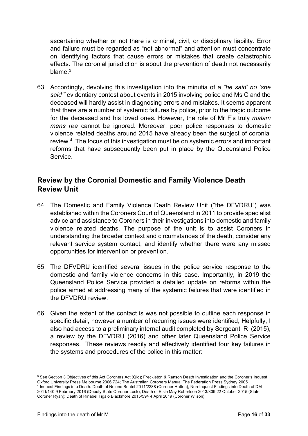ascertaining whether or not there is criminal, civil, or disciplinary liability. Error and failure must be regarded as "not abnormal" and attention must concentrate on identifying factors that cause errors or mistakes that create catastrophic effects. The coronial jurisdiction is about the prevention of death not necessarily blame $3$ 

63. Accordingly, devolving this investigation into the minutia of a *"he said' no 'she said'"* evidentiary contest about events in 2015 involving police and Ms C and the deceased will hardly assist in diagnosing errors and mistakes. It seems apparent that there are a number of systemic failures by police, prior to the tragic outcome for the deceased and his loved ones. However, the role of Mr F's truly *malam mens rea* cannot be ignored. Moreover, poor police responses to domestic violence related deaths around 2015 have already been the subject of coronial review.4 The focus of this investigation must be on systemic errors and important reforms that have subsequently been put in place by the Queensland Police Service.

## **Review by the Coronial Domestic and Family Violence Death Review Unit**

- 64. The Domestic and Family Violence Death Review Unit ("the DFVDRU") was established within the Coroners Court of Queensland in 2011 to provide specialist advice and assistance to Coroners in their investigations into domestic and family violence related deaths. The purpose of the unit is to assist Coroners in understanding the broader context and circumstances of the death, consider any relevant service system contact, and identify whether there were any missed opportunities for intervention or prevention.
- 65. The DFVDRU identified several issues in the police service response to the domestic and family violence concerns in this case. Importantly, in 2019 the Queensland Police Service provided a detailed update on reforms within the police aimed at addressing many of the systemic failures that were identified in the DFVDRU review.
- 66. Given the extent of the contact is was not possible to outline each response in specific detail, however a number of recurring issues were identified, Helpfully, I also had access to a preliminary internal audit completed by Sergeant R (2015), a review by the DFVDRU (2016) and other later Queensland Police Service responses. These reviews readily and effectively identified four key failures in the systems and procedures of the police in this matter:

<sup>&</sup>lt;sup>3</sup> See Section 3 Objectives of this Act Coroners Act (Qld); Freckleton & Ranson Death Investigation and the Coroner's Inquest Oxford University Press Melbourne 2006 724; The Australian Coroners Manual The Federation Press Sydney 2005 <sup>4</sup> Inquest Findings into Death: Death of Nolene Beutel 2011/2288 (Coroner Hutton); Non-Inquest Findings into Death of DM 2011/140 9 February 2016 (Deputy State Coroner Lock); Death of Elsie May Robertson 2013/839 22 October 2015 (State Coroner Ryan); Death of Rinabel Tigalo Blackmore 2015/594 4 April 2019 (Coroner Wilson)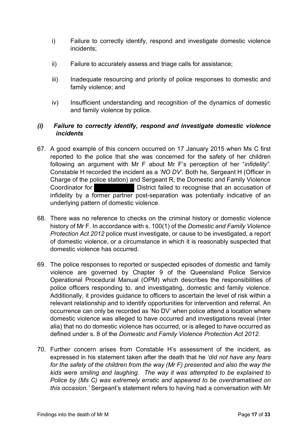- i) Failure to correctly identify, respond and investigate domestic violence incidents;
- ii) Failure to accurately assess and triage calls for assistance;
- iii) Inadequate resourcing and priority of police responses to domestic and family violence; and
- iv) Insufficient understanding and recognition of the dynamics of domestic and family violence by police.

#### *(i) Failure to correctly identify, respond and investigate domestic violence incidents*

- 67. A good example of this concern occurred on 17 January 2015 when Ms C first reported to the police that she was concerned for the safety of her children following an argument with Mr F about Mr F's perception of her "*infidelity".*  Constable H recorded the incident as a *'NO DV'.* Both he, Sergeant H (Officer in Charge of the police station) and Sergeant R, the Domestic and Family Violence Coordinator for **District failed to recognise that an accusation of** infidelity by a former partner post-separation was potentially indicative of an underlying pattern of domestic violence.
- 68. There was no reference to checks on the criminal history or domestic violence history of Mr F. In accordance with s. 100(1) of the *Domestic and Family Violence Protection Act 2012* police must investigate, or cause to be investigated, a report of domestic violence, or a circumstance in which it is reasonably suspected that domestic violence has occurred.
- 69. The police responses to reported or suspected episodes of domestic and family violence are governed by Chapter 9 of the Queensland Police Service Operational Procedural Manual (OPM) which describes the responsibilities of police officers responding to, and investigating, domestic and family violence. Additionally, it provides guidance to officers to ascertain the level of risk within a relevant relationship and to identify opportunities for intervention and referral. An occurrence can only be recorded as 'No DV' when police attend a location where domestic violence was alleged to have occurred and investigations reveal (inter alia) that no do domestic violence has occurred, or is alleged to have occurred as defined under s. 8 of the *Domestic and Family Violence Protection Act 2012.*
- 70. Further concern arises from Constable H's assessment of the incident, as expressed in his statement taken after the death that he *'did not have any fears*  for the safety of the children from the way (Mr F) presented and also the way the *kids were smiling and laughing. The way it was attempted to be explained to Police by (Ms C) was extremely erratic and appeared to be overdramatised on this occasion.'* Sergeant's statement refers to having had a conversation with Mr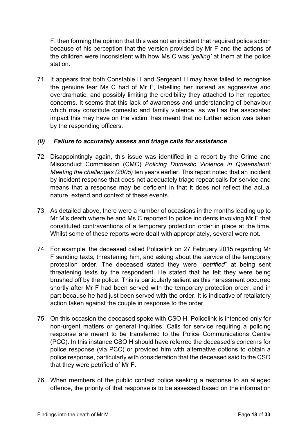F, then forming the opinion that this was not an incident that required police action because of his perception that the version provided by Mr F and the actions of the children were inconsistent with how Ms C was '*yelling'* at them at the police station.

71. It appears that both Constable H and Sergeant H may have failed to recognise the genuine fear Ms C had of Mr F, labelling her instead as aggressive and overdramatic, and possibly limiting the credibility they attached to her reported concerns. It seems that this lack of awareness and understanding of behaviour which may constitute domestic and family violence, as well as the associated impact this may have on the victim, has meant that no further action was taken by the responding officers.

#### *(ii) Failure to accurately assess and triage calls for assistance*

- 72. Disappointingly again, this issue was identified in a report by the Crime and Misconduct Commission (CMC) *Policing Domestic Violence in Queensland: Meeting the challenges (2005)* ten years earlier. This report noted that an incident by incident response that does not adequately triage repeat calls for service and means that a response may be deficient in that it does not reflect the actual nature, extend and context of these events.
- 73. As detailed above, there were a number of occasions in the months leading up to Mr M's death where he and Ms C reported to police incidents involving Mr F that constituted contraventions of a temporary protection order in place at the time. Whilst some of these reports were dealt with appropriately, several were not.
- 74. For example, the deceased called Policelink on 27 February 2015 regarding Mr F sending texts, threatening him, and asking about the service of the temporary protection order. The deceased stated they were "*petrified*" at being sent threatening texts by the respondent. He stated that he felt they were being brushed off by the police. This is particularly salient as this harassment occurred shortly after Mr F had been served with the temporary protection order, and in part because he had just been served with the order. It is indicative of retaliatory action taken against the couple in response to the order.
- 75. On this occasion the deceased spoke with CSO H. Policelink is intended only for non-urgent matters or general inquiries. Calls for service requiring a policing response are meant to be transferred to the Police Communications Centre (PCC). In this instance CSO H should have referred the deceased's concerns for police response (via PCC) or provided him with alternative options to obtain a police response, particularly with consideration that the deceased said to the CSO that they were petrified of Mr F.
- 76. When members of the public contact police seeking a response to an alleged offence, the priority of that response is to be assessed based on the information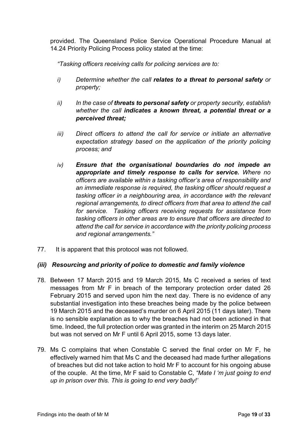provided. The Queensland Police Service Operational Procedure Manual at 14.24 Priority Policing Process policy stated at the time:

*"Tasking officers receiving calls for policing services are to:*

- *i) Determine whether the call relates to a threat to personal safety or property;*
- *ii) In the case of threats to personal safety or property security, establish whether the call indicates a known threat, a potential threat or a perceived threat;*
- *iii*) Direct officers to attend the call for service or initiate an alternative *expectation strategy based on the application of the priority policing process; and*
- *iv) Ensure that the organisational boundaries do not impede an appropriate and timely response to calls for service. Where no officers are available within a tasking officer's area of responsibility and an immediate response is required, the tasking officer should request a tasking officer in a neighbouring area, in accordance with the relevant regional arrangements, to direct officers from that area to attend the call for service. Tasking officers receiving requests for assistance from tasking officers in other areas are to ensure that officers are directed to attend the call for service in accordance with the priority policing process and regional arrangements."*
- 77. It is apparent that this protocol was not followed.

#### *(iii) Resourcing and priority of police to domestic and family violence*

- 78. Between 17 March 2015 and 19 March 2015, Ms C received a series of text messages from Mr F in breach of the temporary protection order dated 26 February 2015 and served upon him the next day. There is no evidence of any substantial investigation into these breaches being made by the police between 19 March 2015 and the deceased's murder on 6 April 2015 (11 days later). There is no sensible explanation as to why the breaches had not been actioned in that time. Indeed, the full protection order was granted in the interim on 25 March 2015 but was not served on Mr F until 6 April 2015, some 13 days later.
- 79. Ms C complains that when Constable C served the final order on Mr F, he effectively warned him that Ms C and the deceased had made further allegations of breaches but did not take action to hold Mr F to account for his ongoing abuse of the couple. At the time, Mr F said to Constable C, *"Mate I 'm just going to end up in prison over this. This is going to end very badly!'*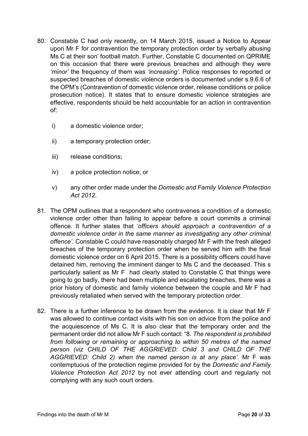- 80. Constable C had only recently, on 14 March 2015, issued a Notice to Appear upon Mr F for contravention the temporary protection order by verbally abusing Ms C at their son' football match. Further, Constable C documented on QPRIME on this occasion that there were previous breaches and although they were *'minor'* the frequency of them was *'increasing'.* Police responses to reported or suspected breaches of domestic violence orders is documented under s.9.6.6 of the OPM's (Contravention of domestic violence order, release conditions or police prosecution notice). It states that to ensure domestic violence strategies are effective, respondents should be held accountable for an action in contravention of:
	- i) a domestic violence order;
	- ii) a temporary protection order;
	- iii) release conditions;
	- iv) a police protection notice; or
	- v) any other order made under the *Domestic and Family Violence Protection Act 2012.*
- 81. The OPM outlines that a respondent who contravenes a condition of a domestic violence order other than failing to appear before a court commits a criminal offence. It further states that '*officers should approach a contravention of a domestic violence order in the same manner as investigating any other criminal offence'.* Constable C could have reasonably charged Mr F with the fresh alleged breaches of the temporary protection order when he served him with the final domestic violence order on 6 April 2015. There is a possibility officers could have detained him, removing the imminent danger to Ms C and the deceased. This s particularly salient as Mr F had clearly stated to Constable C that things were going to go badly, there had been multiple and escalating breaches, there was a prior history of domestic and family violence between the couple and Mr F had previously retaliated when served with the temporary protection order.
- 82. There is a further inference to be drawn from the evidence. It is clear that Mr F was allowed to continue contact visits with his son on advice from the police and the acquiescence of Ms C. It is also clear that the temporary order and the permanent order did not allow Mr F such contact: "8*. The respondent is prohibited from following or remaining or approaching to within 50 metres of the named person (viz CHILD OF THE AGGRIEVED: Child 3 and CHILD OF THE AGGRIEVED: Child 2) when the named person is at any place'.* Mr F was contemptuous of the protection regime provided for by the *Domestic and Family Violence Protection Act 2012* by not ever attending court and regularly not complying with any such court orders.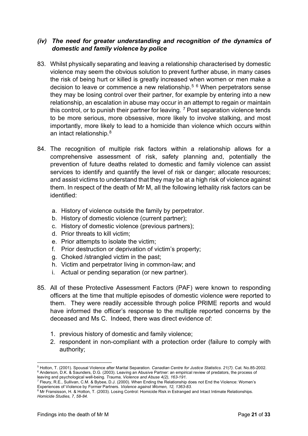#### *(iv) The need for greater understanding and recognition of the dynamics of domestic and family violence by police*

- 83. Whilst physically separating and leaving a relationship characterised by domestic violence may seem the obvious solution to prevent further abuse, in many cases the risk of being hurt or killed is greatly increased when women or men make a decision to leave or commence a new relationship.<sup>5 6</sup> When perpetrators sense they may be losing control over their partner, for example by entering into a new relationship, an escalation in abuse may occur in an attempt to regain or maintain this control, or to punish their partner for leaving.  $7$  Post separation violence tends to be more serious, more obsessive, more likely to involve stalking, and most importantly, more likely to lead to a homicide than violence which occurs within an intact relationship.<sup>8</sup>
- 84. The recognition of multiple risk factors within a relationship allows for a comprehensive assessment of risk, safety planning and, potentially the prevention of future deaths related to domestic and family violence can assist services to identify and quantify the level of risk or danger; allocate resources; and assist victims to understand that they may be at a high risk of violence against them. In respect of the death of Mr M, all the following lethality risk factors can be identified:
	- a. History of violence outside the family by perpetrator.
	- b. History of domestic violence (current partner);
	- c. History of domestic violence (previous partners);
	- d. Prior threats to kill victim;
	- e. Prior attempts to isolate the victim;
	- f. Prior destruction or deprivation of victim's property;
	- g. Choked /strangled victim in the past;
	- h. Victim and perpetrator living in common-law; and
	- i. Actual or pending separation (or new partner).
- 85. All of these Protective Assessment Factors (PAF) were known to responding officers at the time that multiple episodes of domestic violence were reported to them. They were readily accessible through police PRIME reports and would have informed the officer's response to the multiple reported concerns by the deceased and Ms C. Indeed, there was direct evidence of:
	- 1. previous history of domestic and family violence;
	- 2. respondent in non-compliant with a protection order (failure to comply with authority;

<sup>5</sup> Hotton, T. (2001). Spousal Violence after Marital Separation. *Canadian Centre for Justice Statistics. 21(7).* Cat. No.85-2002. <sup>6</sup> Anderson, D.K. & Saunders, D.G. (2003). Leaving an Abusive Partner: an empirical review of predators, the process of leaving and psychological well-being. *Trauma, Violence and Abuse 4(2), 163-191.*

<sup>7</sup> Fleury, R.E., Sullivan, C.M. & Bybee, D.J. (2000). When Ending the Relationship does not End the Violence: Women's Experiences of Violence by Former Partners. *Violence against Women, 12, 1363-83.*

<sup>8</sup> Mr Fransisson, H. & Hotton, T. (2003). Losing Control: Homicide Risk in Estranged and Intact Intimate Relationships. *Homicide Studies, 7, 58-84.*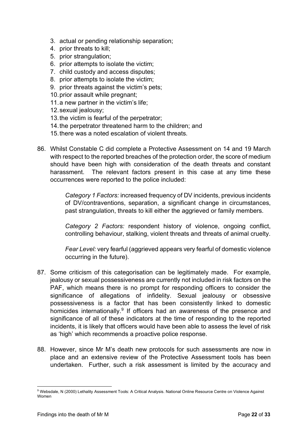- 3. actual or pending relationship separation;
- 4. prior threats to kill;
- 5. prior strangulation;
- 6. prior attempts to isolate the victim;
- 7. child custody and access disputes;
- 8. prior attempts to isolate the victim;
- 9. prior threats against the victim's pets;
- 10. prior assault while pregnant;
- 11. a new partner in the victim's life;
- 12. sexual jealousy;
- 13. the victim is fearful of the perpetrator;
- 14. the perpetrator threatened harm to the children; and
- 15. there was a noted escalation of violent threats.
- 86. Whilst Constable C did complete a Protective Assessment on 14 and 19 March with respect to the reported breaches of the protection order, the score of medium should have been high with consideration of the death threats and constant harassment. The relevant factors present in this case at any time these occurrences were reported to the police included:

*Category 1 Factors:* increased frequency of DV incidents, previous incidents of DV/contraventions, separation, a significant change in circumstances, past strangulation, threats to kill either the aggrieved or family members.

*Category 2 Factors:* respondent history of violence, ongoing conflict, controlling behaviour, stalking, violent threats and threats of animal cruelty.

*Fear Level:* very fearful (aggrieved appears very fearful of domestic violence occurring in the future).

- 87. Some criticism of this categorisation can be legitimately made. For example, jealousy or sexual possessiveness are currently not included in risk factors on the PAF, which means there is no prompt for responding officers to consider the significance of allegations of infidelity. Sexual jealousy or obsessive possessiveness is a factor that has been consistently linked to domestic homicides internationally.<sup>9</sup> If officers had an awareness of the presence and significance of all of these indicators at the time of responding to the reported incidents, it is likely that officers would have been able to assess the level of risk as 'high' which recommends a proactive police response.
- 88. However, since Mr M's death new protocols for such assessments are now in place and an extensive review of the Protective Assessment tools has been undertaken. Further, such a risk assessment is limited by the accuracy and

<sup>9</sup> Websdale, N (2000) Lethality Assessment Tools: A Critical Analysis. National Online Resource Centre on Violence Against Women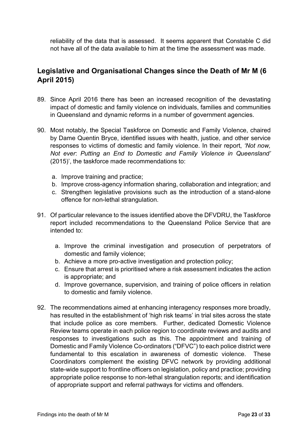reliability of the data that is assessed. It seems apparent that Constable C did not have all of the data available to him at the time the assessment was made.

# **Legislative and Organisational Changes since the Death of Mr M (6 April 2015)**

- 89. Since April 2016 there has been an increased recognition of the devastating impact of domestic and family violence on individuals, families and communities in Queensland and dynamic reforms in a number of government agencies.
- 90. Most notably, the Special Taskforce on Domestic and Family Violence, chaired by Dame Quentin Bryce, identified issues with health, justice, and other service responses to victims of domestic and family violence. In their report, *'Not now, Not ever*: *Putting an End to Domestic and Family Violence in Queensland'*  (2015)', the taskforce made recommendations to:
	- a. Improve training and practice;
	- b. Improve cross-agency information sharing, collaboration and integration; and
	- c. Strengthen legislative provisions such as the introduction of a stand-alone offence for non-lethal strangulation.
- 91. Of particular relevance to the issues identified above the DFVDRU, the Taskforce report included recommendations to the Queensland Police Service that are intended to:
	- a. Improve the criminal investigation and prosecution of perpetrators of domestic and family violence;
	- b. Achieve a more pro-active investigation and protection policy;
	- c. Ensure that arrest is prioritised where a risk assessment indicates the action is appropriate; and
	- d. Improve governance, supervision, and training of police officers in relation to domestic and family violence.
- 92. The recommendations aimed at enhancing interagency responses more broadly, has resulted in the establishment of 'high risk teams' in trial sites across the state that include police as core members. Further, dedicated Domestic Violence Review teams operate in each police region to coordinate reviews and audits and responses to investigations such as this. The appointment and training of Domestic and Family Violence Co-ordinators ("DFVC") to each police district were fundamental to this escalation in awareness of domestic violence. These Coordinators complement the existing DFVC network by providing additional state-wide support to frontline officers on legislation, policy and practice; providing appropriate police response to non-lethal strangulation reports; and identification of appropriate support and referral pathways for victims and offenders.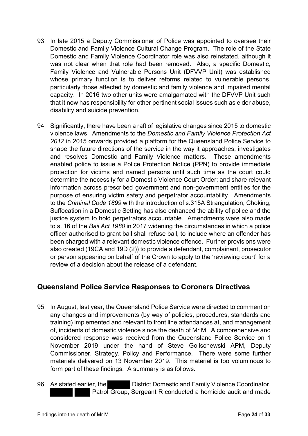- 93. In late 2015 a Deputy Commissioner of Police was appointed to oversee their Domestic and Family Violence Cultural Change Program. The role of the State Domestic and Family Violence Coordinator role was also reinstated, although it was not clear when that role had been removed. Also, a specific Domestic, Family Violence and Vulnerable Persons Unit (DFVVP Unit) was established whose primary function is to deliver reforms related to vulnerable persons, particularly those affected by domestic and family violence and impaired mental capacity. In 2016 two other units were amalgamated with the DFVVP Unit such that it now has responsibility for other pertinent social issues such as elder abuse, disability and suicide prevention.
- 94. Significantly, there have been a raft of legislative changes since 2015 to domestic violence laws. Amendments to the *Domestic and Family Violence Protection Act 2012* in 2015 onwards provided a platform for the Queensland Police Service to shape the future directions of the service in the way it approaches, investigates and resolves Domestic and Family Violence matters. These amendments enabled police to issue a Police Protection Notice (PPN) to provide immediate protection for victims and named persons until such time as the court could determine the necessity for a Domestic Violence Court Order; and share relevant information across prescribed government and non-government entities for the purpose of ensuring victim safety and perpetrator accountability. Amendments to the *Criminal Code 1899* with the introduction of s.315A Strangulation, Choking, Suffocation in a Domestic Setting has also enhanced the ability of police and the justice system to hold perpetrators accountable. Amendments were also made to s. 16 of the *Bail Act 1980* in 2017 widening the circumstances in which a police officer authorised to grant bail shall refuse bail, to include where an offender has been charged with a relevant domestic violence offence. Further provisions were also created (19CA and 19D (2)) to provide a defendant, complainant, prosecutor or person appearing on behalf of the Crown to apply to the 'reviewing court' for a review of a decision about the release of a defendant.

## **Queensland Police Service Responses to Coroners Directives**

- 95. In August, last year, the Queensland Police Service were directed to comment on any changes and improvements (by way of policies, procedures, standards and training) implemented and relevant to front line attendances at, and management of, incidents of domestic violence since the death of Mr M. A comprehensive and considered response was received from the Queensland Police Service on 1 November 2019 under the hand of Steve Gollschewski APM, Deputy Commissioner, Strategy, Policy and Performance. There were some further materials delivered on 13 November 2019. This material is too voluminous to form part of these findings. A summary is as follows.
- 96. As stated earlier, the District Domestic and Family Violence Coordinator, Patrol Group, Sergeant R conducted a homicide audit and made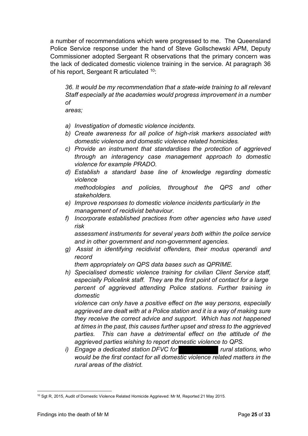a number of recommendations which were progressed to me. The Queensland Police Service response under the hand of Steve Gollschewski APM, Deputy Commissioner adopted Sergeant R observations that the primary concern was the lack of dedicated domestic violence training in the service. At paragraph 36 of his report, Sergeant R articulated <sup>10</sup>:

*36. It would be my recommendation that a state-wide training to all relevant Staff especially at the academies would progress improvement in a number of*

*areas;*

- *a) Investigation of domestic violence incidents.*
- *b) Create awareness for all police of high-risk markers associated with domestic violence and domestic violence related homicides.*
- *c) Provide an instrument that standardises the protection of aggrieved through an interagency case management approach to domestic violence for example PRADO.*
- *d) Establish a standard base line of knowledge regarding domestic violence*

*methodologies and policies, throughout the QPS and other stakeholders.*

- *e) Improve responses to domestic violence incidents particularly in the management of recidivist behaviour.*
- *f) Incorporate established practices from other agencies who have used risk*

*assessment instruments for several years both within the police service and in other government and non-government agencies.*

*g) Assist in identifying recidivist offenders, their modus operandi and record*

*them appropriately on QPS data bases such as QPRIME.*

*h) Specialised domestic violence training for civilian Client Service staff, especially Policelink staff. They are the first point of contact for a large percent of aggrieved attending Police stations. Further training in domestic*

*violence can only have a positive effect on the way persons, especially aggrieved are dealt with at a Police station and it is a way of making sure they receive the correct advice and support. Which has not happened at times in the past, this causes further upset and stress to the aggrieved parties. This can have a detrimental effect on the attitude of the aggrieved parties wishing to report domestic violence to QPS.*

*i)* Engage a dedicated station DFVC for rural stations, who *would be the first contact for all domestic violence related matters in the rural areas of the district.* 

<sup>&</sup>lt;sup>10</sup> Sgt R, 2015, Audit of Domestic Violence Related Homicide Aggrieved: Mr M, Reported 21 May 2015.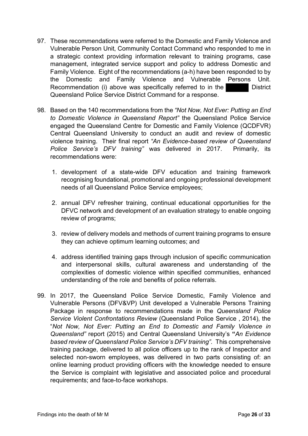- 97. These recommendations were referred to the Domestic and Family Violence and Vulnerable Person Unit, Community Contact Command who responded to me in a strategic context providing information relevant to training programs, case management, integrated service support and policy to address Domestic and Family Violence. Eight of the recommendations (a-h) have been responded to by the Domestic and Family Violence and Vulnerable Persons Unit. Recommendation (i) above was specifically referred to in the District Queensland Police Service District Command for a response.
- 98. Based on the 140 recommendations from the *"Not Now, Not Ever: Putting an End to Domestic Violence in Queensland Report"* the Queensland Police Service engaged the Queensland Centre for Domestic and Family Violence (QCDFVR) Central Queensland University to conduct an audit and review of domestic violence training. Their final report *"An Evidence-based review of Queensland Police Service's DFV training"* was delivered in 2017. Primarily, its recommendations were:
	- 1. development of a state-wide DFV education and training framework recognising foundational, promotional and ongoing professional development needs of all Queensland Police Service employees;
	- 2. annual DFV refresher training, continual educational opportunities for the DFVC network and development of an evaluation strategy to enable ongoing review of programs;
	- 3. review of delivery models and methods of current training programs to ensure they can achieve optimum learning outcomes; and
	- 4. address identified training gaps through inclusion of specific communication and interpersonal skills, cultural awareness and understanding of the complexities of domestic violence within specified communities, enhanced understanding of the role and benefits of police referrals.
- 99. In 2017, the Queensland Police Service Domestic, Family Violence and Vulnerable Persons (DFV&VP) Unit developed a Vulnerable Persons Training Package in response to recommendations made in the *Queensland Police Service Violent Confrontations Review* (Queensland Police Service , 2014), the "*Not Now, Not Ever: Putting an End to Domestic and Family Violence in Queensland"* report (2015) and Central Queensland University's **"***An Evidence based review of Queensland Police Service's DFV training".* This comprehensive training package, delivered to all police officers up to the rank of Inspector and selected non-sworn employees, was delivered in two parts consisting of: an online learning product providing officers with the knowledge needed to ensure the Service is complaint with legislative and associated police and procedural requirements; and face-to-face workshops.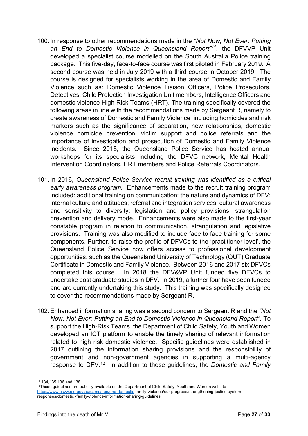- 100. In response to other recommendations made in the *"Not Now, Not Ever: Putting an End to Domestic Violence in Queensland Report"<sup>11</sup>*, the DFVVP Unit developed a specialist course modelled on the South Australia Police training package. This five-day, face-to-face course was first piloted in February 2019. A second course was held in July 2019 with a third course in October 2019. The course is designed for specialists working in the area of Domestic and Family Violence such as: Domestic Violence Liaison Officers, Police Prosecutors, Detectives, Child Protection Investigation Unit members, Intelligence Officers and domestic violence High Risk Teams (HRT). The training specifically covered the following areas in line with the recommendations made by Sergeant R, namely to create awareness of Domestic and Family Violence including homicides and risk markers such as the significance of separation, new relationships, domestic violence homicide prevention, victim support and police referrals and the importance of investigation and prosecution of Domestic and Family Violence incidents. Since 2015, the Queensland Police Service has hosted annual workshops for its specialists including the DFVC network, Mental Health Intervention Coordinators, HRT members and Police Referrals Coordinators.
- 101. In 2016, *Queensland Police Service recruit training was identified as a critical early awareness program.* Enhancements made to the recruit training program included: additional training on communication; the nature and dynamics of DFV; internal culture and attitudes; referral and integration services; cultural awareness and sensitivity to diversity; legislation and policy provisions; strangulation prevention and delivery mode. Enhancements were also made to the first-year constable program in relation to communication, strangulation and legislative provisions. Training was also modified to include face to face training for some components. Further, to raise the profile of DFVCs to the 'practitioner level', the Queensland Police Service now offers access to professional development opportunities, such as the Queensland University of Technology (QUT) Graduate Certificate in Domestic and Family Violence. Between 2016 and 2017 six DFVCs completed this course. In 2018 the DFV&VP Unit funded five DFVCs to undertake post graduate studies in DFV. In 2019, a further four have been funded and are currently undertaking this study. This training was specifically designed to cover the recommendations made by Sergeant R.
- 102.Enhanced information sharing was a second concern to Sergeant R and the *"Not No*w, *Not Ever: Putting an End to Domestic Violence in Queensland Report".* To support the High-Risk Teams, the Department of Child Safety, Youth and Women developed an ICT platform to enable the timely sharing of relevant information related to high risk domestic violence. Specific guidelines were established in 2017 outlining the information sharing provisions and the responsibility of government and non-government agencies in supporting a multi-agency response to DFV.12 In addition to these guidelines, the *Domestic and Family*

<sup>11</sup> 134,135,136 and 138

 $12$ These guidelines are publicly available on the Department of Child Safety, Youth and Women website https://www.csyw.qld.gov.au/campaign/end-domestic-family-violence/our progress/strengthening-justice-systemresponses/domestic -family-violence-information-sharing-guidelines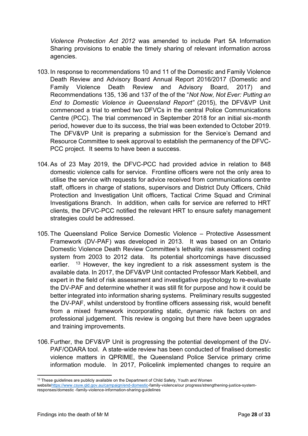*Violence Protection Act 2012* was amended to include Part 5A Information Sharing provisions to enable the timely sharing of relevant information across agencies.

- 103. In response to recommendations 10 and 11 of the Domestic and Family Violence Death Review and Advisory Board Annual Report 2016/2017 (Domestic and Family Violence Death Review and Advisory Board, 2017) and Recommendations 135, 136 and 137 of the of the "*Not Now, Not Ever: Putting an End to Domestic Violence in Queensland Report"* (2015), the DFV&VP Unit commenced a trial to embed two DFVCs in the central Police Communications Centre (PCC). The trial commenced in September 2018 for an initial six-month period, however due to its success, the trial was been extended to October 2019. The DFV&VP Unit is preparing a submission for the Service's Demand and Resource Committee to seek approval to establish the permanency of the DFVC-PCC project. It seems to have been a success.
- 104.As of 23 May 2019, the DFVC-PCC had provided advice in relation to 848 domestic violence calls for service. Frontline officers were not the only area to utilise the service with requests for advice received from communications centre staff, officers in charge of stations, supervisors and District Duty Officers, Child Protection and Investigation Unit officers, Tactical Crime Squad and Criminal Investigations Branch. In addition, when calls for service are referred to HRT clients, the DFVC-PCC notified the relevant HRT to ensure safety management strategies could be addressed.
- 105.The Queensland Police Service Domestic Violence Protective Assessment Framework (DV-PAF) was developed in 2013. It was based on an Ontario Domestic Violence Death Review Committee's lethality risk assessment coding system from 2003 to 2012 data. Its potential shortcomings have discussed earlier.  $13$  However, the key ingredient to a risk assessment system is the available data. In 2017, the DFV&VP Unit contacted Professor Mark Kebbell, and expert in the field of risk assessment and investigative psychology to re-evaluate the DV-PAF and determine whether it was still fit for purpose and how it could be better integrated into information sharing systems. Preliminary results suggested the DV-PAF, whilst understood by frontline officers assessing risk, would benefit from a mixed framework incorporating static, dynamic risk factors on and professional judgement. This review is ongoing but there have been upgrades and training improvements.
- 106.Further, the DFV&VP Unit is progressing the potential development of the DV-PAF/ODARA tool. A state-wide review has been conducted of finalised domestic violence matters in QPRIME, the Queensland Police Service primary crime information module. In 2017, Policelink implemented changes to require an

<sup>&</sup>lt;sup>13</sup> These guidelines are publicly available on the Department of Child Safety, Youth and Women

websitehttps://www.csyw.qld.gov.au/campaign/end-domestic-family-violence/our progress/strengthening-justice-systemresponses/domestic -family-violence-information-sharing-guidelines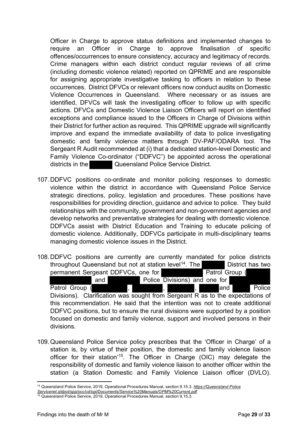Officer in Charge to approve status definitions and implemented changes to require an Officer in Charge to approve finalisation of specific offences/occurrences to ensure consistency, accuracy and legitimacy of records. Crime managers within each district conduct regular reviews of all crime (including domestic violence related) reported on QPRIME and are responsible for assigning appropriate investigative tasking to officers in relation to these occurrences. District DFVCs or relevant officers now conduct audits on Domestic Violence Occurrences in Queensland. Where necessary or as issues are identified, DFVCs will task the investigating officer to follow up with specific actions. DFVCs and Domestic Violence Liaison Officers will report on identified exceptions and compliance issued to the Officers in Charge of Divisions within their District for further action as required. This QPRIME upgrade will significantly improve and expand the immediate availability of data to police investigating domestic and family violence matters through DV-PAF/ODARA tool. The Sergeant R Audit recommended at (i) that a dedicated station-level Domestic and Family Violence Co-ordinator ("DDFVC") be appointed across the operational districts in the Queensland Police Service District.

- 107.DDFVC positions co-ordinate and monitor policing responses to domestic violence within the district in accordance with Queensland Police Service strategic directions, policy, legislation and procedures. These positions have responsibilities for providing direction, guidance and advice to police. They build relationships with the community, government and non-government agencies and develop networks and preventative strategies for dealing with domestic violence. DDFVCs assist with District Education and Training to educate policing of domestic violence. Additionally, DDFVCs participate in multi-disciplinary teams managing domestic violence issues in the District.
- 108.DDFVC positions are currently are currently mandated for police districts throughout Queensland but not at station level<sup>14</sup>. The District has two permanent Sergeant DDFVCs, one for **Patrol Group** ( and Police Divisions) and one for Patrol Group ( , , , and Police Divisions). Clarification was sought from Sergeant R as to the expectations of this recommendation. He said that the intention was not to create additional DDFVC positions, but to ensure the rural divisions were supported by a position focused on domestic and family violence, support and involved persons in their divisions.
- 109.Queensland Police Service policy prescribes that the 'Officer in Charge' of a station is, by virtue of their position, the domestic and family violence liaison officer for their station'15. The Officer in Charge (OIC) may delegate the responsibility of domestic and family violence liaison to another officer within the station (a Station Domestic and Family Violence Liaison officer (DVLO).

<sup>14</sup> Queensland Police Service, 2019, Operational Procedures Manual, section 9.15.3*. https://Queensland Police* 

*Servicenet.qldpol/spp/occ/cd/opi/Documents/Service%20Manuals/OPM%20Current.pdf*

<sup>&</sup>lt;sup>15</sup> Queensland Police Service, 2019, Operational Procedures Manual, section 9.15.3.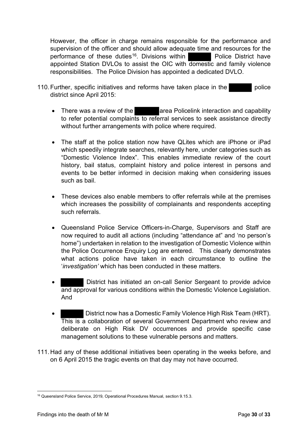However, the officer in charge remains responsible for the performance and supervision of the officer and should allow adequate time and resources for the performance of these duties<sup>16</sup>. Divisions within **Police District have** appointed Station DVLOs to assist the OIC with domestic and family violence responsibilities. The Police Division has appointed a dedicated DVLO.

- 110. Further, specific initiatives and reforms have taken place in the district since April 2015:
	- There was a review of the area Policelink interaction and capability to refer potential complaints to referral services to seek assistance directly without further arrangements with police where required.
	- The staff at the police station now have QLites which are iPhone or iPad which speedily integrate searches, relevantly here, under categories such as "Domestic Violence Index". This enables immediate review of the court history, bail status, complaint history and police interest in persons and events to be better informed in decision making when considering issues such as bail.
	- These devices also enable members to offer referrals while at the premises which increases the possibility of complainants and respondents accepting such referrals.
	- Queensland Police Service Officers-in-Charge, Supervisors and Staff are now required to audit all actions (including "attendance at" and 'no person's home") undertaken in relation to the investigation of Domestic Violence within the Police Occurrence Enquiry Log are entered. This clearly demonstrates what actions police have taken in each circumstance to outline the '*investigation'* which has been conducted in these matters.
	- District has initiated an on-call Senior Sergeant to provide advice and approval for various conditions within the Domestic Violence Legislation. And
	- District now has a Domestic Family Violence High Risk Team (HRT). This is a collaboration of several Government Department who review and deliberate on High Risk DV occurrences and provide specific case management solutions to these vulnerable persons and matters.
- 111.Had any of these additional initiatives been operating in the weeks before, and on 6 April 2015 the tragic events on that day may not have occurred.

<sup>16</sup> Queensland Police Service, 2019, Operational Procedures Manual, section 9.15.3.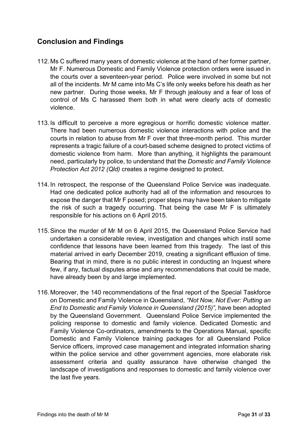# **Conclusion and Findings**

- 112. Ms C suffered many years of domestic violence at the hand of her former partner, Mr F. Numerous Domestic and Family Violence protection orders were issued in the courts over a seventeen-year period. Police were involved in some but not all of the incidents. Mr M came into Ms C's life only weeks before his death as her new partner. During those weeks, Mr F through jealousy and a fear of loss of control of Ms C harassed them both in what were clearly acts of domestic violence.
- 113. Is difficult to perceive a more egregious or horrific domestic violence matter. There had been numerous domestic violence interactions with police and the courts in relation to abuse from Mr F over that three-month period. This murder represents a tragic failure of a court-based scheme designed to protect victims of domestic violence from harm. More than anything, it highlights the paramount need, particularly by police, to understand that the *Domestic and Family Violence Protection Act 2012 (Qld)* creates a regime designed to protect.
- 114. In retrospect, the response of the Queensland Police Service was inadequate. Had one dedicated police authority had all of the information and resources to expose the danger that Mr F posed; proper steps may have been taken to mitigate the risk of such a tragedy occurring. That being the case Mr F is ultimately responsible for his actions on 6 April 2015.
- 115.Since the murder of Mr M on 6 April 2015, the Queensland Police Service had undertaken a considerable review, investigation and changes which instil some confidence that lessons have been learned from this tragedy. The last of this material arrived in early December 2019, creating a significant effluxion of time. Bearing that in mind, there is no public interest in conducting an Inquest where few, if any, factual disputes arise and any recommendations that could be made, have already been by and large implemented.
- 116. Moreover, the 140 recommendations of the final report of the Special Taskforce on Domestic and Family Violence in Queensland, *"Not Now, Not Ever: Putting an End to Domestic and Family Violence in Queensland (2015)",* have been adopted by the Queensland Government. Queensland Police Service implemented the policing response to domestic and family violence. Dedicated Domestic and Family Violence Co-ordinators, amendments to the Operations Manual, specific Domestic and Family Violence training packages for all Queensland Police Service officers, improved case management and integrated information sharing within the police service and other government agencies, more elaborate risk assessment criteria and quality assurance have otherwise changed the landscape of investigations and responses to domestic and family violence over the last five years.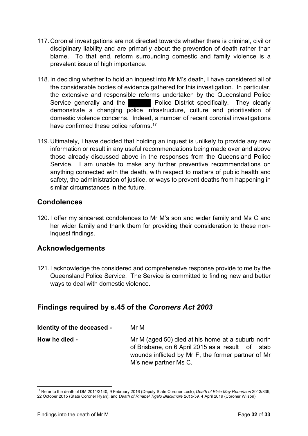- 117.Coronial investigations are not directed towards whether there is criminal, civil or disciplinary liability and are primarily about the prevention of death rather than blame. To that end, reform surrounding domestic and family violence is a prevalent issue of high importance.
- 118. In deciding whether to hold an inquest into Mr M's death, I have considered all of the considerable bodies of evidence gathered for this investigation. In particular, the extensive and responsible reforms undertaken by the Queensland Police Service generally and the **Police District specifically.** They clearly demonstrate a changing police infrastructure, culture and prioritisation of domestic violence concerns. Indeed, a number of recent coronial investigations have confirmed these police reforms.<sup>17</sup>
- 119.Ultimately, I have decided that holding an inquest is unlikely to provide any new information or result in any useful recommendations being made over and above those already discussed above in the responses from the Queensland Police Service. I am unable to make any further preventive recommendations on anything connected with the death, with respect to matters of public health and safety, the administration of justice, or ways to prevent deaths from happening in similar circumstances in the future.

## **Condolences**

120. I offer my sincerest condolences to Mr M's son and wider family and Ms C and her wider family and thank them for providing their consideration to these noninquest findings.

## **Acknowledgements**

121. I acknowledge the considered and comprehensive response provide to me by the Queensland Police Service. The Service is committed to finding new and better ways to deal with domestic violence.

## **Findings required by s.45 of the** *Coroners Act 2003*

| Identity of the deceased - | Mr M                                                                                                   |
|----------------------------|--------------------------------------------------------------------------------------------------------|
| How he died -              | Mr M (aged 50) died at his home at a suburb north                                                      |
|                            | of Brisbane, on 6 April 2015 as a result of stab<br>wounds inflicted by Mr F, the former partner of Mr |
|                            | M's new partner Ms C.                                                                                  |

<sup>17</sup> Refer to the death of DM 2011/2140, 9 February 2016 (Deputy State Coroner Lock); *Death of Elsie May Robertson* 2013/839, 22 October 2015 (State Coroner Ryan); and *Death of Rinabel Tigalo Blackmore 2015/59,* 4 April 2019 (Coroner Wilson)